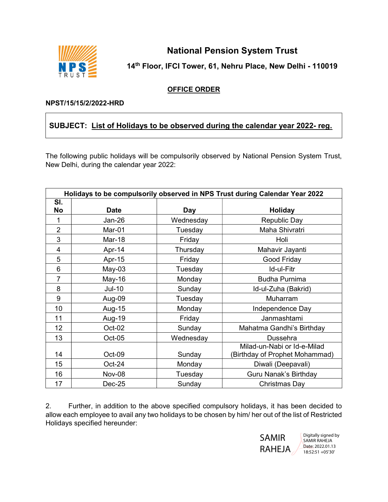

National Pension System Trust

14th Floor, IFCI Tower, 61, Nehru Place, New Delhi - 110019

## OFFICE ORDER

## NPST/15/15/2/2022-HRD

## SUBJECT: List of Holidays to be observed during the calendar year 2022- reg.

The following public holidays will be compulsorily observed by National Pension System Trust, New Delhi, during the calendar year 2022:

| Holidays to be compulsorily observed in NPS Trust during Calendar Year 2022 |               |                                     |                                                               |  |  |
|-----------------------------------------------------------------------------|---------------|-------------------------------------|---------------------------------------------------------------|--|--|
| SI.                                                                         |               |                                     |                                                               |  |  |
| <b>No</b>                                                                   | <b>Date</b>   | Day                                 | <b>Holiday</b>                                                |  |  |
| 1                                                                           | $Jan-26$      | Wednesday                           | <b>Republic Day</b>                                           |  |  |
| $\overline{2}$                                                              | Mar-01        | Maha Shivratri<br>Tuesday           |                                                               |  |  |
| 3                                                                           | Mar-18        | Friday<br>Holi                      |                                                               |  |  |
| 4                                                                           | Apr-14        | Mahavir Jayanti<br>Thursday         |                                                               |  |  |
| 5                                                                           | Apr-15        | Good Friday<br>Friday               |                                                               |  |  |
| 6                                                                           | $May-03$      | Id-ul-Fitr<br>Tuesday               |                                                               |  |  |
| 7                                                                           | May-16        | Monday                              | <b>Budha Purnima</b>                                          |  |  |
| 8                                                                           | <b>Jul-10</b> | Sunday                              | Id-ul-Zuha (Bakrid)                                           |  |  |
| 9                                                                           | Aug-09        | Tuesday                             | Muharram                                                      |  |  |
| 10                                                                          | Aug-15        | Monday<br>Independence Day          |                                                               |  |  |
| 11                                                                          | Aug-19        | Janmashtami<br>Friday               |                                                               |  |  |
| 12                                                                          | Oct-02        | Mahatma Gandhi's Birthday<br>Sunday |                                                               |  |  |
| 13                                                                          | Oct-05        | Wednesday<br><b>Dussehra</b>        |                                                               |  |  |
| 14                                                                          | Oct-09        | Sunday                              | Milad-un-Nabi or Id-e-Milad<br>(Birthday of Prophet Mohammad) |  |  |
| 15                                                                          | Oct-24        | Monday<br>Diwali (Deepavali)        |                                                               |  |  |
| 16                                                                          | <b>Nov-08</b> | Tuesday<br>Guru Nanak's Birthday    |                                                               |  |  |
| 17                                                                          | Dec-25        | Sunday<br>Christmas Day             |                                                               |  |  |

2. Further, in addition to the above specified compulsory holidays, it has been decided to allow each employee to avail any two holidays to be chosen by him/ her out of the list of Restricted Holidays specified hereunder: